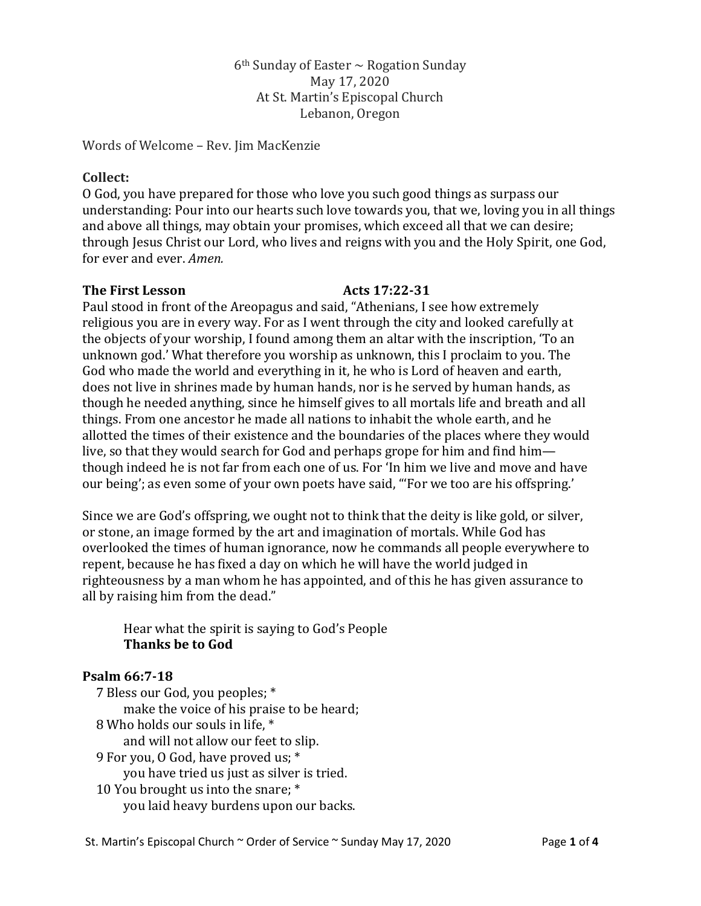$6<sup>th</sup>$  Sunday of Easter  $\sim$  Rogation Sunday May 17, 2020 At St. Martin's Episcopal Church Lebanon, Oregon

Words of Welcome – Rev. Jim MacKenzie

## **Collect:**

O God, you have prepared for those who love you such good things as surpass our understanding: Pour into our hearts such love towards you, that we, loving you in all things and above all things, may obtain your promises, which exceed all that we can desire; through Jesus Christ our Lord, who lives and reigns with you and the Holy Spirit, one God, for ever and ever. *Amen.*

### The First Lesson Acts 17:22-31

Paul stood in front of the Areopagus and said, "Athenians, I see how extremely religious you are in every way. For as I went through the city and looked carefully at the objects of your worship, I found among them an altar with the inscription, 'To an unknown god.' What therefore you worship as unknown, this I proclaim to you. The God who made the world and everything in it, he who is Lord of heaven and earth, does not live in shrines made by human hands, nor is he served by human hands, as though he needed anything, since he himself gives to all mortals life and breath and all things. From one ancestor he made all nations to inhabit the whole earth, and he allotted the times of their existence and the boundaries of the places where they would live, so that they would search for God and perhaps grope for him and find him though indeed he is not far from each one of us. For 'In him we live and move and have our being'; as even some of your own poets have said, "'For we too are his offspring.'

Since we are God's offspring, we ought not to think that the deity is like gold, or silver, or stone, an image formed by the art and imagination of mortals. While God has overlooked the times of human ignorance, now he commands all people everywhere to repent, because he has fixed a day on which he will have the world judged in righteousness by a man whom he has appointed, and of this he has given assurance to all by raising him from the dead."

Hear what the spirit is saying to God's People **Thanks be to God**

## **Psalm 66:7-18**

7 Bless our God, you peoples; \* make the voice of his praise to be heard; 8 Who holds our souls in life, \* and will not allow our feet to slip. 9 For you, O God, have proved us; \* you have tried us just as silver is tried. 10 You brought us into the snare; \* you laid heavy burdens upon our backs.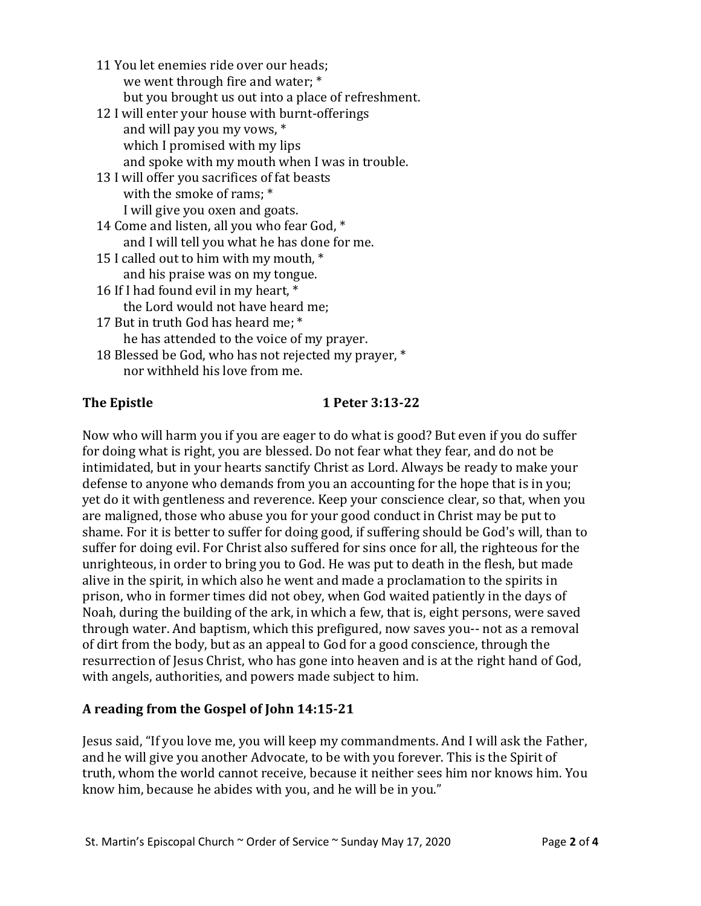- 11 You let enemies ride over our heads; we went through fire and water; \* but you brought us out into a place of refreshment.
- 12 I will enter your house with burnt-offerings and will pay you my vows, \* which I promised with my lips and spoke with my mouth when I was in trouble.
- 13 I will offer you sacrifices of fat beasts with the smoke of rams; \* I will give you oxen and goats.
- 14 Come and listen, all you who fear God, \* and I will tell you what he has done for me.
- 15 I called out to him with my mouth, \* and his praise was on my tongue.
- 16 If I had found evil in my heart, \* the Lord would not have heard me;
- 17 But in truth God has heard me; \* he has attended to the voice of my prayer.
- 18 Blessed be God, who has not rejected my prayer, \* nor withheld his love from me.

# **The Epistle 1 Peter 3:13-22**

Now who will harm you if you are eager to do what is good? But even if you do suffer for doing what is right, you are blessed. Do not fear what they fear, and do not be intimidated, but in your hearts sanctify Christ as Lord. Always be ready to make your defense to anyone who demands from you an accounting for the hope that is in you; yet do it with gentleness and reverence. Keep your conscience clear, so that, when you are maligned, those who abuse you for your good conduct in Christ may be put to shame. For it is better to suffer for doing good, if suffering should be God's will, than to suffer for doing evil. For Christ also suffered for sins once for all, the righteous for the unrighteous, in order to bring you to God. He was put to death in the flesh, but made alive in the spirit, in which also he went and made a proclamation to the spirits in prison, who in former times did not obey, when God waited patiently in the days of Noah, during the building of the ark, in which a few, that is, eight persons, were saved through water. And baptism, which this prefigured, now saves you-- not as a removal of dirt from the body, but as an appeal to God for a good conscience, through the resurrection of Jesus Christ, who has gone into heaven and is at the right hand of God, with angels, authorities, and powers made subject to him.

# **A reading from the Gospel of John 14:15-21**

Jesus said, "If you love me, you will keep my commandments. And I will ask the Father, and he will give you another Advocate, to be with you forever. This is the Spirit of truth, whom the world cannot receive, because it neither sees him nor knows him. You know him, because he abides with you, and he will be in you."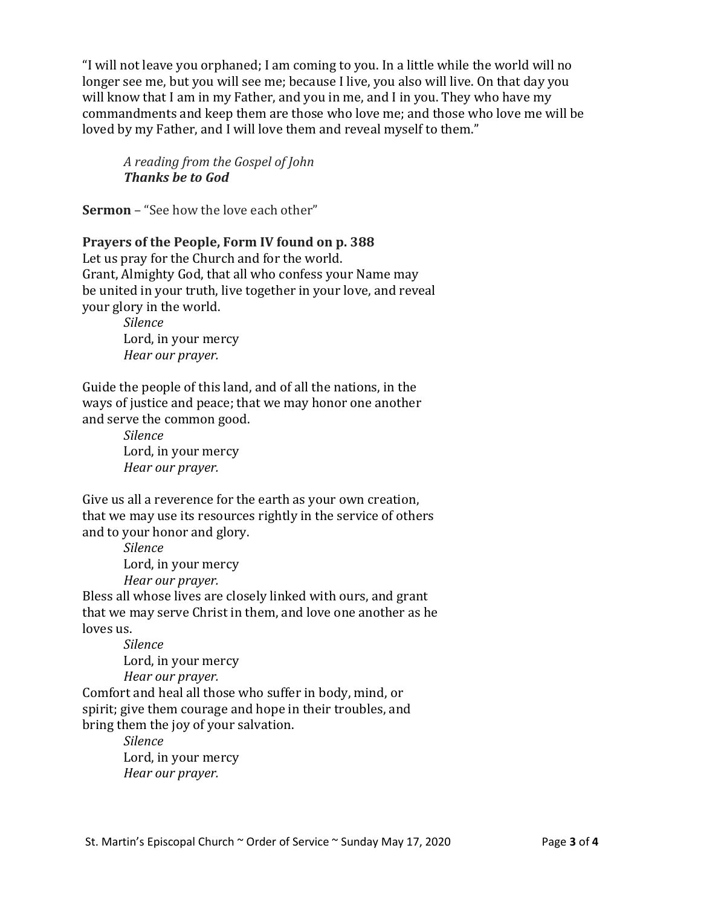"I will not leave you orphaned; I am coming to you. In a little while the world will no longer see me, but you will see me; because I live, you also will live. On that day you will know that I am in my Father, and you in me, and I in you. They who have my commandments and keep them are those who love me; and those who love me will be loved by my Father, and I will love them and reveal myself to them."

*A reading from the Gospel of John Thanks be to God*

**Sermon** – "See how the love each other"

# **Prayers of the People, Form IV found on p. 388**

Let us pray for the Church and for the world. Grant, Almighty God, that all who confess your Name may be united in your truth, live together in your love, and reveal your glory in the world.

> *Silence* Lord, in your mercy *Hear our prayer.*

Guide the people of this land, and of all the nations, in the ways of justice and peace; that we may honor one another and serve the common good.

> *Silence* Lord, in your mercy *Hear our prayer.*

Give us all a reverence for the earth as your own creation, that we may use its resources rightly in the service of others and to your honor and glory.

> *Silence* Lord, in your mercy *Hear our prayer.*

Bless all whose lives are closely linked with ours, and grant that we may serve Christ in them, and love one another as he loves us.

> *Silence* Lord, in your mercy *Hear our prayer.*

Comfort and heal all those who suffer in body, mind, or spirit; give them courage and hope in their troubles, and bring them the joy of your salvation.

> *Silence* Lord, in your mercy *Hear our prayer.*